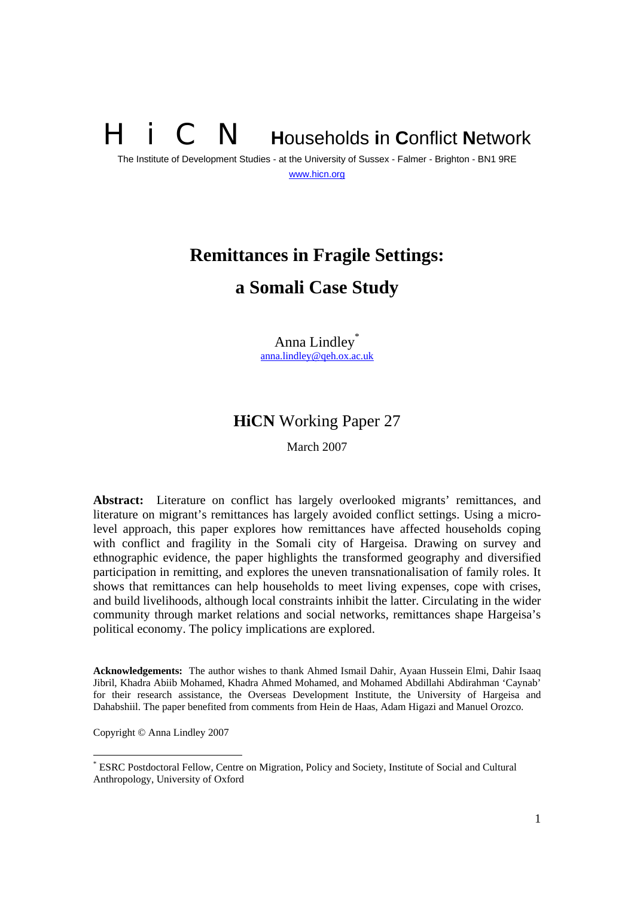# **N** Households in Conflict Network

The Institute of Development Studies - at the University of Sussex - Falmer - Brighton - BN1 9RE www.hicn.org

## **Remittances in Fragile Settings: a Somali Case Study**

Anna Lindley\* anna.lindley@qeh.ox.ac.uk

### **HiCN** Working Paper 27

March 2007

**Abstract:** Literature on conflict has largely overlooked migrants' remittances, and literature on migrant's remittances has largely avoided conflict settings. Using a microlevel approach, this paper explores how remittances have affected households coping with conflict and fragility in the Somali city of Hargeisa. Drawing on survey and ethnographic evidence, the paper highlights the transformed geography and diversified participation in remitting, and explores the uneven transnationalisation of family roles. It shows that remittances can help households to meet living expenses, cope with crises, and build livelihoods, although local constraints inhibit the latter. Circulating in the wider community through market relations and social networks, remittances shape Hargeisa's political economy. The policy implications are explored.

**Acknowledgements:** The author wishes to thank Ahmed Ismail Dahir, Ayaan Hussein Elmi, Dahir Isaaq Jibril, Khadra Abiib Mohamed, Khadra Ahmed Mohamed, and Mohamed Abdillahi Abdirahman 'Caynab' for their research assistance, the Overseas Development Institute, the University of Hargeisa and Dahabshiil. The paper benefited from comments from Hein de Haas, Adam Higazi and Manuel Orozco.

Copyright © Anna Lindley 2007

<sup>\*</sup> ESRC Postdoctoral Fellow, Centre on Migration, Policy and Society, Institute of Social and Cultural Anthropology, University of Oxford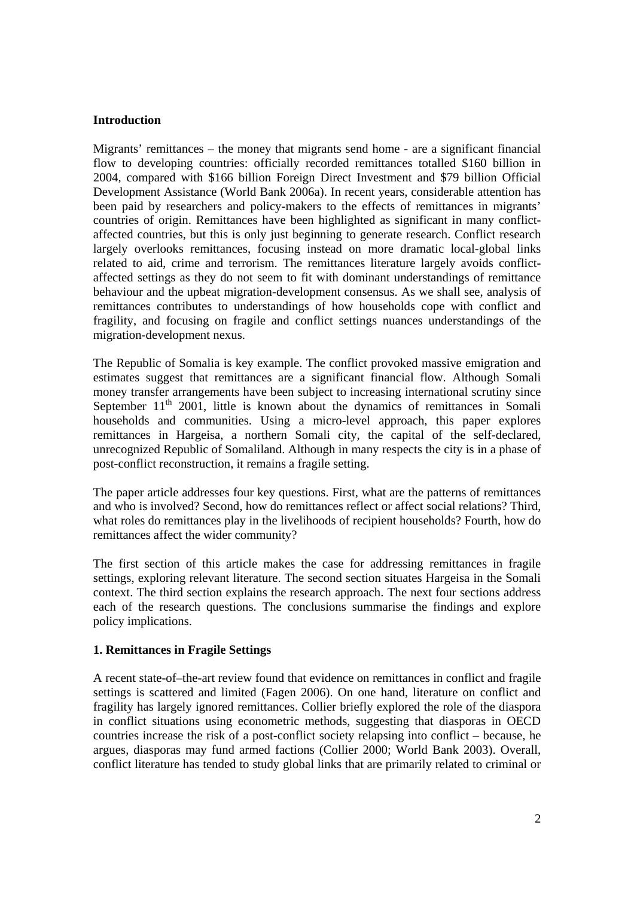#### **Introduction**

Migrants' remittances – the money that migrants send home - are a significant financial flow to developing countries: officially recorded remittances totalled \$160 billion in 2004, compared with \$166 billion Foreign Direct Investment and \$79 billion Official Development Assistance (World Bank 2006a). In recent years, considerable attention has been paid by researchers and policy-makers to the effects of remittances in migrants' countries of origin. Remittances have been highlighted as significant in many conflictaffected countries, but this is only just beginning to generate research. Conflict research largely overlooks remittances, focusing instead on more dramatic local-global links related to aid, crime and terrorism. The remittances literature largely avoids conflictaffected settings as they do not seem to fit with dominant understandings of remittance behaviour and the upbeat migration-development consensus. As we shall see, analysis of remittances contributes to understandings of how households cope with conflict and fragility, and focusing on fragile and conflict settings nuances understandings of the migration-development nexus.

The Republic of Somalia is key example. The conflict provoked massive emigration and estimates suggest that remittances are a significant financial flow. Although Somali money transfer arrangements have been subject to increasing international scrutiny since September  $11<sup>th</sup>$  2001, little is known about the dynamics of remittances in Somali households and communities. Using a micro-level approach, this paper explores remittances in Hargeisa, a northern Somali city, the capital of the self-declared, unrecognized Republic of Somaliland. Although in many respects the city is in a phase of post-conflict reconstruction, it remains a fragile setting.

The paper article addresses four key questions. First, what are the patterns of remittances and who is involved? Second, how do remittances reflect or affect social relations? Third, what roles do remittances play in the livelihoods of recipient households? Fourth, how do remittances affect the wider community?

The first section of this article makes the case for addressing remittances in fragile settings, exploring relevant literature. The second section situates Hargeisa in the Somali context. The third section explains the research approach. The next four sections address each of the research questions. The conclusions summarise the findings and explore policy implications.

#### **1. Remittances in Fragile Settings**

A recent state-of–the-art review found that evidence on remittances in conflict and fragile settings is scattered and limited (Fagen 2006). On one hand, literature on conflict and fragility has largely ignored remittances. Collier briefly explored the role of the diaspora in conflict situations using econometric methods, suggesting that diasporas in OECD countries increase the risk of a post-conflict society relapsing into conflict – because, he argues, diasporas may fund armed factions (Collier 2000; World Bank 2003). Overall, conflict literature has tended to study global links that are primarily related to criminal or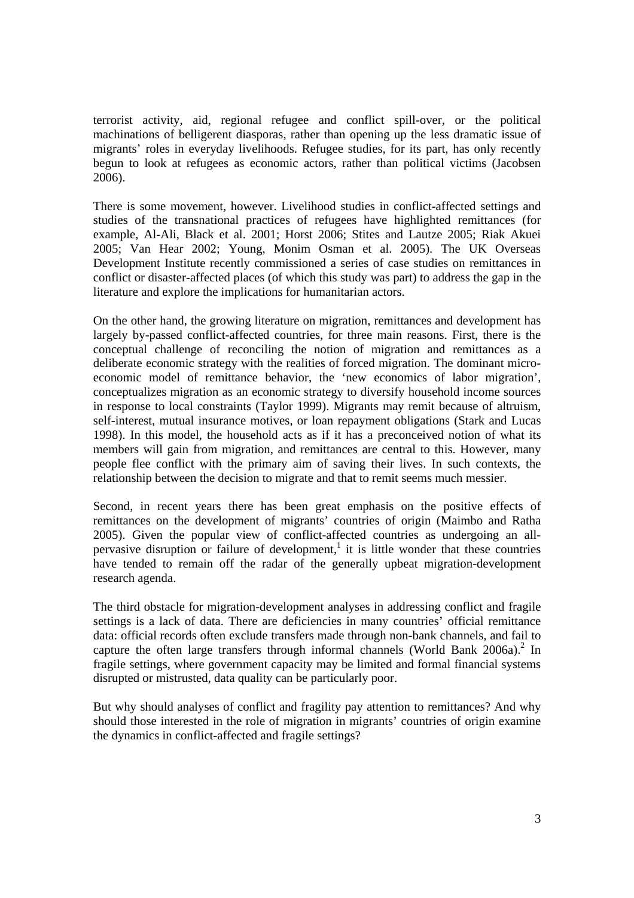terrorist activity, aid, regional refugee and conflict spill-over, or the political machinations of belligerent diasporas, rather than opening up the less dramatic issue of migrants' roles in everyday livelihoods. Refugee studies, for its part, has only recently begun to look at refugees as economic actors, rather than political victims (Jacobsen 2006).

There is some movement, however. Livelihood studies in conflict-affected settings and studies of the transnational practices of refugees have highlighted remittances (for example, Al-Ali, Black et al. 2001; Horst 2006; Stites and Lautze 2005; Riak Akuei 2005; Van Hear 2002; Young, Monim Osman et al. 2005). The UK Overseas Development Institute recently commissioned a series of case studies on remittances in conflict or disaster-affected places (of which this study was part) to address the gap in the literature and explore the implications for humanitarian actors.

On the other hand, the growing literature on migration, remittances and development has largely by-passed conflict-affected countries, for three main reasons. First, there is the conceptual challenge of reconciling the notion of migration and remittances as a deliberate economic strategy with the realities of forced migration. The dominant microeconomic model of remittance behavior, the 'new economics of labor migration', conceptualizes migration as an economic strategy to diversify household income sources in response to local constraints (Taylor 1999). Migrants may remit because of altruism, self-interest, mutual insurance motives, or loan repayment obligations (Stark and Lucas 1998). In this model, the household acts as if it has a preconceived notion of what its members will gain from migration, and remittances are central to this. However, many people flee conflict with the primary aim of saving their lives. In such contexts, the relationship between the decision to migrate and that to remit seems much messier.

Second, in recent years there has been great emphasis on the positive effects of remittances on the development of migrants' countries of origin (Maimbo and Ratha 2005). Given the popular view of conflict-affected countries as undergoing an allpervasive disruption or failure of development,<sup>1</sup> it is little wonder that these countries have tended to remain off the radar of the generally upbeat migration-development research agenda.

The third obstacle for migration-development analyses in addressing conflict and fragile settings is a lack of data. There are deficiencies in many countries' official remittance data: official records often exclude transfers made through non-bank channels, and fail to capture the often large transfers through informal channels (World Bank 2006a).<sup>2</sup> In fragile settings, where government capacity may be limited and formal financial systems disrupted or mistrusted, data quality can be particularly poor.

But why should analyses of conflict and fragility pay attention to remittances? And why should those interested in the role of migration in migrants' countries of origin examine the dynamics in conflict-affected and fragile settings?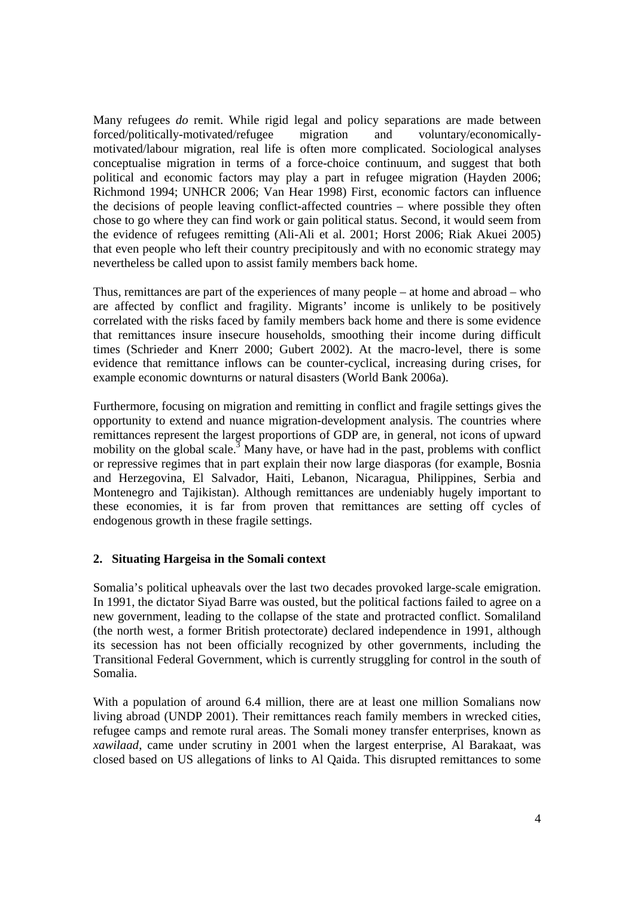Many refugees *do* remit. While rigid legal and policy separations are made between forced/politically-motivated/refugee migration and voluntary/economicallymotivated/labour migration, real life is often more complicated. Sociological analyses conceptualise migration in terms of a force-choice continuum, and suggest that both political and economic factors may play a part in refugee migration (Hayden 2006; Richmond 1994; UNHCR 2006; Van Hear 1998) First, economic factors can influence the decisions of people leaving conflict-affected countries – where possible they often chose to go where they can find work or gain political status. Second, it would seem from the evidence of refugees remitting (Ali-Ali et al. 2001; Horst 2006; Riak Akuei 2005) that even people who left their country precipitously and with no economic strategy may nevertheless be called upon to assist family members back home.

Thus, remittances are part of the experiences of many people – at home and abroad – who are affected by conflict and fragility. Migrants' income is unlikely to be positively correlated with the risks faced by family members back home and there is some evidence that remittances insure insecure households, smoothing their income during difficult times (Schrieder and Knerr 2000; Gubert 2002). At the macro-level, there is some evidence that remittance inflows can be counter-cyclical, increasing during crises, for example economic downturns or natural disasters (World Bank 2006a).

Furthermore, focusing on migration and remitting in conflict and fragile settings gives the opportunity to extend and nuance migration-development analysis. The countries where remittances represent the largest proportions of GDP are, in general, not icons of upward mobility on the global scale.<sup>3</sup> Many have, or have had in the past, problems with conflict or repressive regimes that in part explain their now large diasporas (for example, Bosnia and Herzegovina, El Salvador, Haiti, Lebanon, Nicaragua, Philippines, Serbia and Montenegro and Tajikistan). Although remittances are undeniably hugely important to these economies, it is far from proven that remittances are setting off cycles of endogenous growth in these fragile settings.

#### **2. Situating Hargeisa in the Somali context**

Somalia's political upheavals over the last two decades provoked large-scale emigration. In 1991, the dictator Siyad Barre was ousted, but the political factions failed to agree on a new government, leading to the collapse of the state and protracted conflict. Somaliland (the north west, a former British protectorate) declared independence in 1991, although its secession has not been officially recognized by other governments, including the Transitional Federal Government, which is currently struggling for control in the south of Somalia.

With a population of around 6.4 million, there are at least one million Somalians now living abroad (UNDP 2001). Their remittances reach family members in wrecked cities, refugee camps and remote rural areas. The Somali money transfer enterprises, known as *xawilaad*, came under scrutiny in 2001 when the largest enterprise, Al Barakaat, was closed based on US allegations of links to Al Qaida. This disrupted remittances to some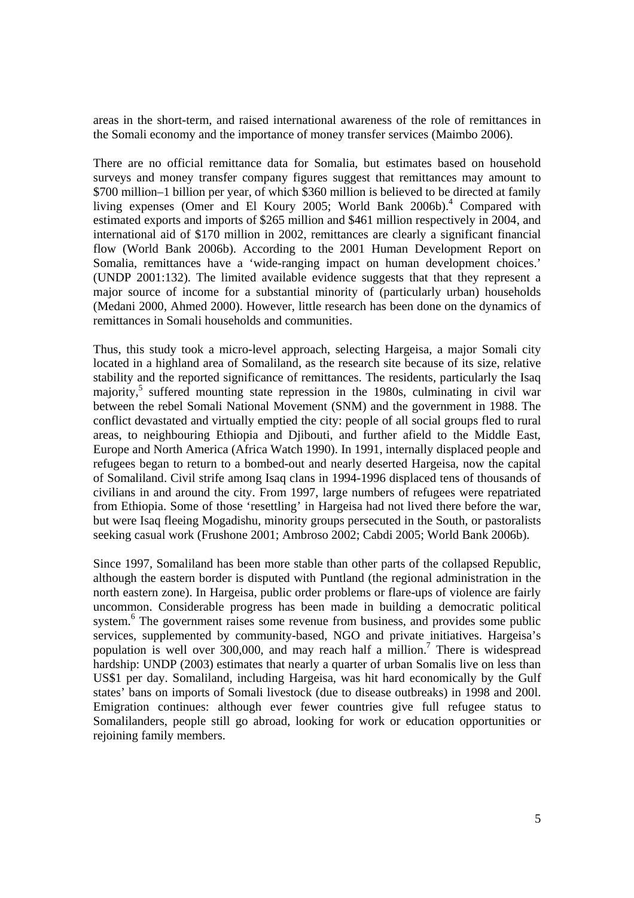areas in the short-term, and raised international awareness of the role of remittances in the Somali economy and the importance of money transfer services (Maimbo 2006).

There are no official remittance data for Somalia, but estimates based on household surveys and money transfer company figures suggest that remittances may amount to \$700 million–1 billion per year, of which \$360 million is believed to be directed at family living expenses (Omer and El Koury 2005; World Bank 2006b).<sup>4</sup> Compared with estimated exports and imports of \$265 million and \$461 million respectively in 2004, and international aid of \$170 million in 2002, remittances are clearly a significant financial flow (World Bank 2006b). According to the 2001 Human Development Report on Somalia, remittances have a 'wide-ranging impact on human development choices.' (UNDP 2001:132). The limited available evidence suggests that that they represent a major source of income for a substantial minority of (particularly urban) households (Medani 2000, Ahmed 2000). However, little research has been done on the dynamics of remittances in Somali households and communities.

Thus, this study took a micro-level approach, selecting Hargeisa, a major Somali city located in a highland area of Somaliland, as the research site because of its size, relative stability and the reported significance of remittances. The residents, particularly the Isaq majority,<sup>5</sup> suffered mounting state repression in the 1980s, culminating in civil war between the rebel Somali National Movement (SNM) and the government in 1988. The conflict devastated and virtually emptied the city: people of all social groups fled to rural areas, to neighbouring Ethiopia and Djibouti, and further afield to the Middle East, Europe and North America (Africa Watch 1990). In 1991, internally displaced people and refugees began to return to a bombed-out and nearly deserted Hargeisa, now the capital of Somaliland. Civil strife among Isaq clans in 1994-1996 displaced tens of thousands of civilians in and around the city. From 1997, large numbers of refugees were repatriated from Ethiopia. Some of those 'resettling' in Hargeisa had not lived there before the war, but were Isaq fleeing Mogadishu, minority groups persecuted in the South, or pastoralists seeking casual work (Frushone 2001; Ambroso 2002; Cabdi 2005; World Bank 2006b).

Since 1997, Somaliland has been more stable than other parts of the collapsed Republic, although the eastern border is disputed with Puntland (the regional administration in the north eastern zone). In Hargeisa, public order problems or flare-ups of violence are fairly uncommon. Considerable progress has been made in building a democratic political system.<sup>6</sup> The government raises some revenue from business, and provides some public services, supplemented by community-based, NGO and private initiatives. Hargeisa's population is well over 300,000, and may reach half a million.<sup>7</sup> There is widespread hardship: UNDP (2003) estimates that nearly a quarter of urban Somalis live on less than US\$1 per day. Somaliland, including Hargeisa, was hit hard economically by the Gulf states' bans on imports of Somali livestock (due to disease outbreaks) in 1998 and 200l. Emigration continues: although ever fewer countries give full refugee status to Somalilanders, people still go abroad, looking for work or education opportunities or rejoining family members.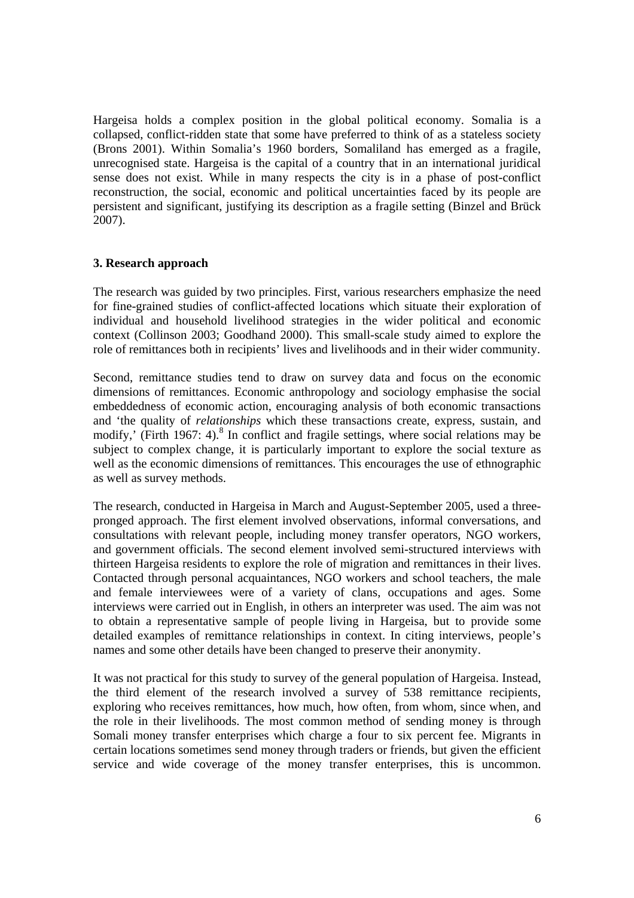Hargeisa holds a complex position in the global political economy. Somalia is a collapsed, conflict-ridden state that some have preferred to think of as a stateless society (Brons 2001). Within Somalia's 1960 borders, Somaliland has emerged as a fragile, unrecognised state. Hargeisa is the capital of a country that in an international juridical sense does not exist. While in many respects the city is in a phase of post-conflict reconstruction, the social, economic and political uncertainties faced by its people are persistent and significant, justifying its description as a fragile setting (Binzel and Brück 2007).

#### **3. Research approach**

The research was guided by two principles. First, various researchers emphasize the need for fine-grained studies of conflict-affected locations which situate their exploration of individual and household livelihood strategies in the wider political and economic context (Collinson 2003; Goodhand 2000). This small-scale study aimed to explore the role of remittances both in recipients' lives and livelihoods and in their wider community.

Second, remittance studies tend to draw on survey data and focus on the economic dimensions of remittances. Economic anthropology and sociology emphasise the social embeddedness of economic action, encouraging analysis of both economic transactions and 'the quality of *relationships* which these transactions create, express, sustain, and modify,' (Firth 1967: 4).<sup>8</sup> In conflict and fragile settings, where social relations may be subject to complex change, it is particularly important to explore the social texture as well as the economic dimensions of remittances. This encourages the use of ethnographic as well as survey methods.

The research, conducted in Hargeisa in March and August-September 2005, used a threepronged approach. The first element involved observations, informal conversations, and consultations with relevant people, including money transfer operators, NGO workers, and government officials. The second element involved semi-structured interviews with thirteen Hargeisa residents to explore the role of migration and remittances in their lives. Contacted through personal acquaintances, NGO workers and school teachers, the male and female interviewees were of a variety of clans, occupations and ages. Some interviews were carried out in English, in others an interpreter was used. The aim was not to obtain a representative sample of people living in Hargeisa, but to provide some detailed examples of remittance relationships in context. In citing interviews, people's names and some other details have been changed to preserve their anonymity.

It was not practical for this study to survey of the general population of Hargeisa. Instead, the third element of the research involved a survey of 538 remittance recipients, exploring who receives remittances, how much, how often, from whom, since when, and the role in their livelihoods. The most common method of sending money is through Somali money transfer enterprises which charge a four to six percent fee. Migrants in certain locations sometimes send money through traders or friends, but given the efficient service and wide coverage of the money transfer enterprises, this is uncommon.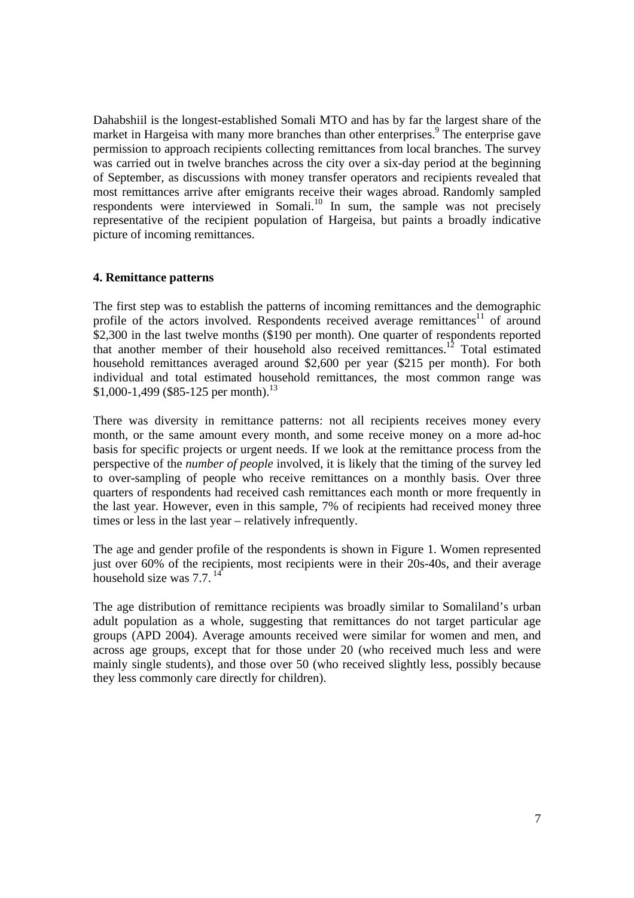Dahabshiil is the longest-established Somali MTO and has by far the largest share of the market in Hargeisa with many more branches than other enterprises.<sup>9</sup> The enterprise gave permission to approach recipients collecting remittances from local branches. The survey was carried out in twelve branches across the city over a six-day period at the beginning of September, as discussions with money transfer operators and recipients revealed that most remittances arrive after emigrants receive their wages abroad. Randomly sampled respondents were interviewed in Somali.<sup>10</sup> In sum, the sample was not precisely representative of the recipient population of Hargeisa, but paints a broadly indicative picture of incoming remittances.

#### **4. Remittance patterns**

The first step was to establish the patterns of incoming remittances and the demographic profile of the actors involved. Respondents received average remittances<sup>11</sup> of around \$2,300 in the last twelve months (\$190 per month). One quarter of respondents reported that another member of their household also received remittances.<sup>12</sup> Total estimated household remittances averaged around \$2,600 per year (\$215 per month). For both individual and total estimated household remittances, the most common range was  $$1,000-1,499$  (\$85-125 per month).<sup>13</sup>

There was diversity in remittance patterns: not all recipients receives money every month, or the same amount every month, and some receive money on a more ad-hoc basis for specific projects or urgent needs. If we look at the remittance process from the perspective of the *number of people* involved, it is likely that the timing of the survey led to over-sampling of people who receive remittances on a monthly basis. Over three quarters of respondents had received cash remittances each month or more frequently in the last year. However, even in this sample, 7% of recipients had received money three times or less in the last year – relatively infrequently.

The age and gender profile of the respondents is shown in Figure 1. Women represented just over 60% of the recipients, most recipients were in their 20s-40s, and their average household size was  $7.7$ .<sup>14</sup>

The age distribution of remittance recipients was broadly similar to Somaliland's urban adult population as a whole, suggesting that remittances do not target particular age groups (APD 2004). Average amounts received were similar for women and men, and across age groups, except that for those under 20 (who received much less and were mainly single students), and those over 50 (who received slightly less, possibly because they less commonly care directly for children).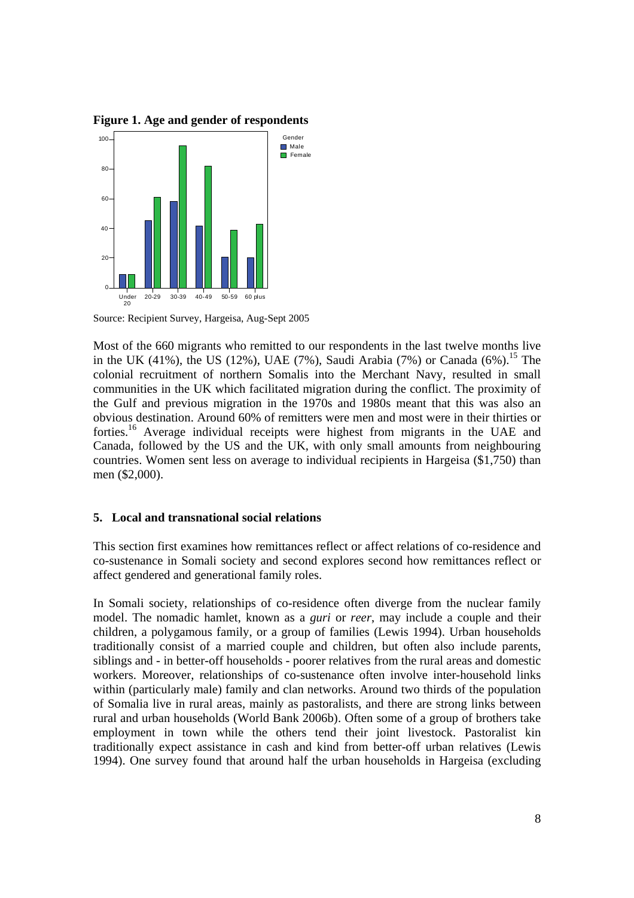**Figure 1. Age and gender of respondents** 



Source: Recipient Survey, Hargeisa, Aug-Sept 2005

Most of the 660 migrants who remitted to our respondents in the last twelve months live in the UK (41%), the US (12%), UAE (7%), Saudi Arabia (7%) or Canada (6%).<sup>15</sup> The colonial recruitment of northern Somalis into the Merchant Navy, resulted in small communities in the UK which facilitated migration during the conflict. The proximity of the Gulf and previous migration in the 1970s and 1980s meant that this was also an obvious destination. Around 60% of remitters were men and most were in their thirties or forties.16 Average individual receipts were highest from migrants in the UAE and Canada, followed by the US and the UK, with only small amounts from neighbouring countries. Women sent less on average to individual recipients in Hargeisa (\$1,750) than men (\$2,000).

#### **5. Local and transnational social relations**

This section first examines how remittances reflect or affect relations of co-residence and co-sustenance in Somali society and second explores second how remittances reflect or affect gendered and generational family roles.

In Somali society, relationships of co-residence often diverge from the nuclear family model. The nomadic hamlet, known as a *guri* or *reer*, may include a couple and their children, a polygamous family, or a group of families (Lewis 1994). Urban households traditionally consist of a married couple and children, but often also include parents, siblings and - in better-off households - poorer relatives from the rural areas and domestic workers. Moreover, relationships of co-sustenance often involve inter-household links within (particularly male) family and clan networks. Around two thirds of the population of Somalia live in rural areas, mainly as pastoralists, and there are strong links between rural and urban households (World Bank 2006b). Often some of a group of brothers take employment in town while the others tend their joint livestock. Pastoralist kin traditionally expect assistance in cash and kind from better-off urban relatives (Lewis 1994). One survey found that around half the urban households in Hargeisa (excluding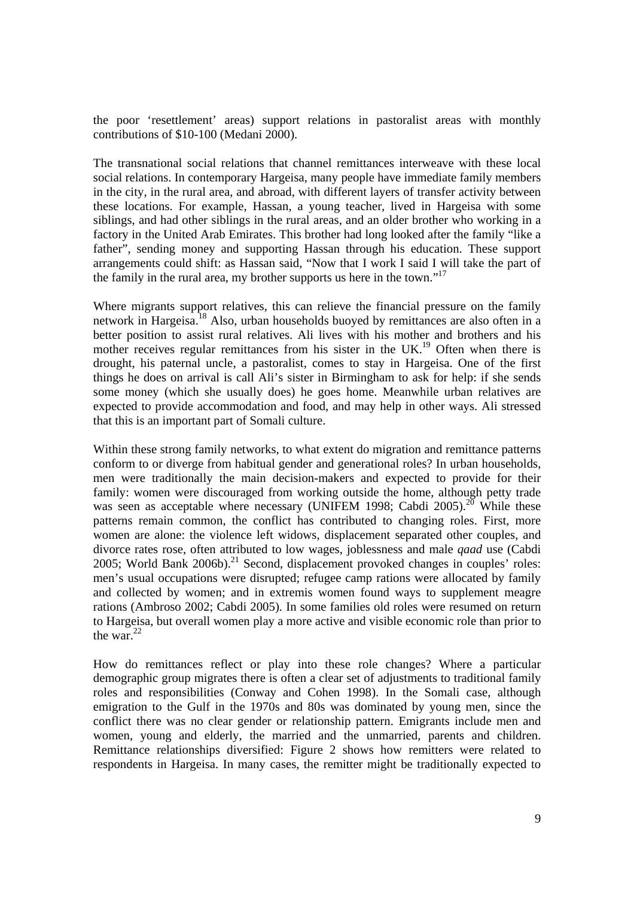the poor 'resettlement' areas) support relations in pastoralist areas with monthly contributions of \$10-100 (Medani 2000).

The transnational social relations that channel remittances interweave with these local social relations. In contemporary Hargeisa, many people have immediate family members in the city, in the rural area, and abroad, with different layers of transfer activity between these locations. For example, Hassan, a young teacher, lived in Hargeisa with some siblings, and had other siblings in the rural areas, and an older brother who working in a factory in the United Arab Emirates. This brother had long looked after the family "like a father", sending money and supporting Hassan through his education. These support arrangements could shift: as Hassan said, "Now that I work I said I will take the part of the family in the rural area, my brother supports us here in the town."<sup>17</sup>

Where migrants support relatives, this can relieve the financial pressure on the family network in Hargeisa.<sup>18</sup> Also, urban households buoyed by remittances are also often in a better position to assist rural relatives. Ali lives with his mother and brothers and his mother receives regular remittances from his sister in the UK.<sup>19</sup> Often when there is drought, his paternal uncle, a pastoralist, comes to stay in Hargeisa. One of the first things he does on arrival is call Ali's sister in Birmingham to ask for help: if she sends some money (which she usually does) he goes home. Meanwhile urban relatives are expected to provide accommodation and food, and may help in other ways. Ali stressed that this is an important part of Somali culture.

Within these strong family networks, to what extent do migration and remittance patterns conform to or diverge from habitual gender and generational roles? In urban households, men were traditionally the main decision-makers and expected to provide for their family: women were discouraged from working outside the home, although petty trade was seen as acceptable where necessary (UNIFEM 1998; Cabdi 2005).<sup>20</sup> While these patterns remain common, the conflict has contributed to changing roles. First, more women are alone: the violence left widows, displacement separated other couples, and divorce rates rose, often attributed to low wages, joblessness and male *qaad* use (Cabdi 2005; World Bank  $2006b$ .<sup>21</sup> Second, displacement provoked changes in couples' roles: men's usual occupations were disrupted; refugee camp rations were allocated by family and collected by women; and in extremis women found ways to supplement meagre rations (Ambroso 2002; Cabdi 2005). In some families old roles were resumed on return to Hargeisa, but overall women play a more active and visible economic role than prior to the war. $22$ 

How do remittances reflect or play into these role changes? Where a particular demographic group migrates there is often a clear set of adjustments to traditional family roles and responsibilities (Conway and Cohen 1998). In the Somali case, although emigration to the Gulf in the 1970s and 80s was dominated by young men, since the conflict there was no clear gender or relationship pattern. Emigrants include men and women, young and elderly, the married and the unmarried, parents and children. Remittance relationships diversified: Figure 2 shows how remitters were related to respondents in Hargeisa. In many cases, the remitter might be traditionally expected to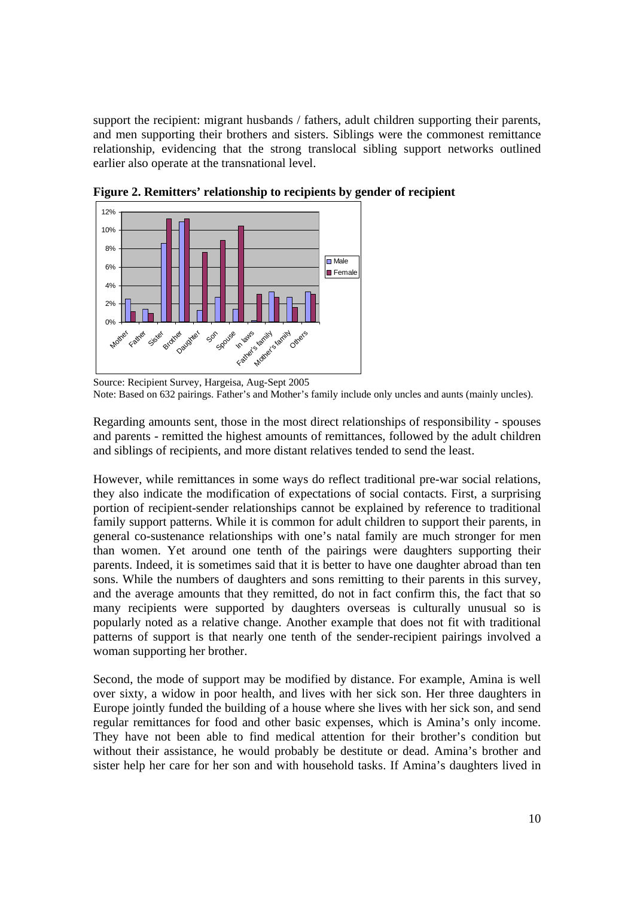support the recipient: migrant husbands / fathers, adult children supporting their parents, and men supporting their brothers and sisters. Siblings were the commonest remittance relationship, evidencing that the strong translocal sibling support networks outlined earlier also operate at the transnational level.



**Figure 2. Remitters' relationship to recipients by gender of recipient** 

Regarding amounts sent, those in the most direct relationships of responsibility - spouses and parents - remitted the highest amounts of remittances, followed by the adult children and siblings of recipients, and more distant relatives tended to send the least.

However, while remittances in some ways do reflect traditional pre-war social relations, they also indicate the modification of expectations of social contacts. First, a surprising portion of recipient-sender relationships cannot be explained by reference to traditional family support patterns. While it is common for adult children to support their parents, in general co-sustenance relationships with one's natal family are much stronger for men than women. Yet around one tenth of the pairings were daughters supporting their parents. Indeed, it is sometimes said that it is better to have one daughter abroad than ten sons. While the numbers of daughters and sons remitting to their parents in this survey, and the average amounts that they remitted, do not in fact confirm this, the fact that so many recipients were supported by daughters overseas is culturally unusual so is popularly noted as a relative change. Another example that does not fit with traditional patterns of support is that nearly one tenth of the sender-recipient pairings involved a woman supporting her brother.

Second, the mode of support may be modified by distance. For example, Amina is well over sixty, a widow in poor health, and lives with her sick son. Her three daughters in Europe jointly funded the building of a house where she lives with her sick son, and send regular remittances for food and other basic expenses, which is Amina's only income. They have not been able to find medical attention for their brother's condition but without their assistance, he would probably be destitute or dead. Amina's brother and sister help her care for her son and with household tasks. If Amina's daughters lived in

Source: Recipient Survey, Hargeisa, Aug-Sept 2005 Note: Based on 632 pairings. Father's and Mother's family include only uncles and aunts (mainly uncles).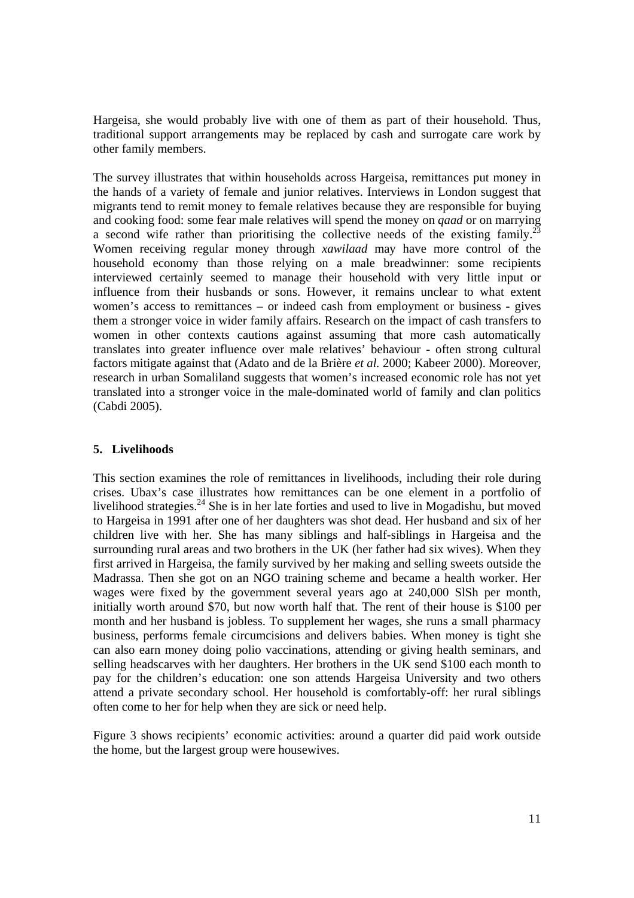Hargeisa, she would probably live with one of them as part of their household. Thus, traditional support arrangements may be replaced by cash and surrogate care work by other family members.

The survey illustrates that within households across Hargeisa, remittances put money in the hands of a variety of female and junior relatives. Interviews in London suggest that migrants tend to remit money to female relatives because they are responsible for buying and cooking food: some fear male relatives will spend the money on *qaad* or on marrying a second wife rather than prioritising the collective needs of the existing family.<sup>2</sup> Women receiving regular money through *xawilaad* may have more control of the household economy than those relying on a male breadwinner: some recipients interviewed certainly seemed to manage their household with very little input or influence from their husbands or sons. However, it remains unclear to what extent women's access to remittances – or indeed cash from employment or business - gives them a stronger voice in wider family affairs. Research on the impact of cash transfers to women in other contexts cautions against assuming that more cash automatically translates into greater influence over male relatives' behaviour - often strong cultural factors mitigate against that (Adato and de la Brière *et al.* 2000; Kabeer 2000). Moreover, research in urban Somaliland suggests that women's increased economic role has not yet translated into a stronger voice in the male-dominated world of family and clan politics (Cabdi 2005).

#### **5. Livelihoods**

This section examines the role of remittances in livelihoods, including their role during crises. Ubax's case illustrates how remittances can be one element in a portfolio of livelihood strategies. $^{24}$  She is in her late forties and used to live in Mogadishu, but moved to Hargeisa in 1991 after one of her daughters was shot dead. Her husband and six of her children live with her. She has many siblings and half-siblings in Hargeisa and the surrounding rural areas and two brothers in the UK (her father had six wives). When they first arrived in Hargeisa, the family survived by her making and selling sweets outside the Madrassa. Then she got on an NGO training scheme and became a health worker. Her wages were fixed by the government several years ago at 240,000 SlSh per month, initially worth around \$70, but now worth half that. The rent of their house is \$100 per month and her husband is jobless. To supplement her wages, she runs a small pharmacy business, performs female circumcisions and delivers babies. When money is tight she can also earn money doing polio vaccinations, attending or giving health seminars, and selling headscarves with her daughters. Her brothers in the UK send \$100 each month to pay for the children's education: one son attends Hargeisa University and two others attend a private secondary school. Her household is comfortably-off: her rural siblings often come to her for help when they are sick or need help.

Figure 3 shows recipients' economic activities: around a quarter did paid work outside the home, but the largest group were housewives.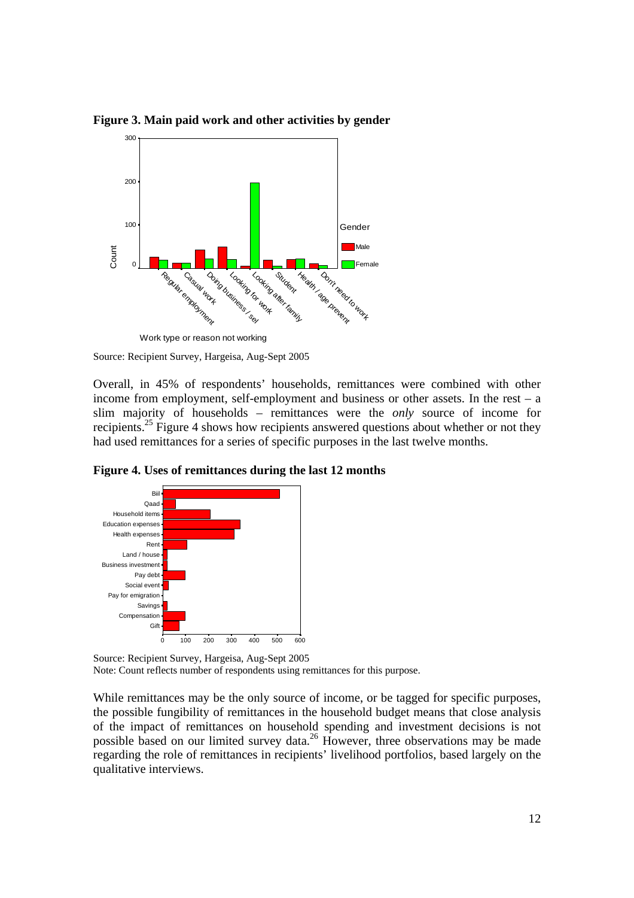

**Figure 3. Main paid work and other activities by gender** 

Overall, in 45% of respondents' households, remittances were combined with other income from employment, self-employment and business or other assets. In the rest – a slim majority of households – remittances were the *only* source of income for recipients.<sup>25</sup> Figure 4 shows how recipients answered questions about whether or not they had used remittances for a series of specific purposes in the last twelve months.

**Figure 4. Uses of remittances during the last 12 months** 



Source: Recipient Survey, Hargeisa, Aug-Sept 2005 Note: Count reflects number of respondents using remittances for this purpose.

While remittances may be the only source of income, or be tagged for specific purposes, the possible fungibility of remittances in the household budget means that close analysis of the impact of remittances on household spending and investment decisions is not possible based on our limited survey data.<sup>26</sup> However, three observations may be made regarding the role of remittances in recipients' livelihood portfolios, based largely on the qualitative interviews.

Source: Recipient Survey, Hargeisa, Aug-Sept 2005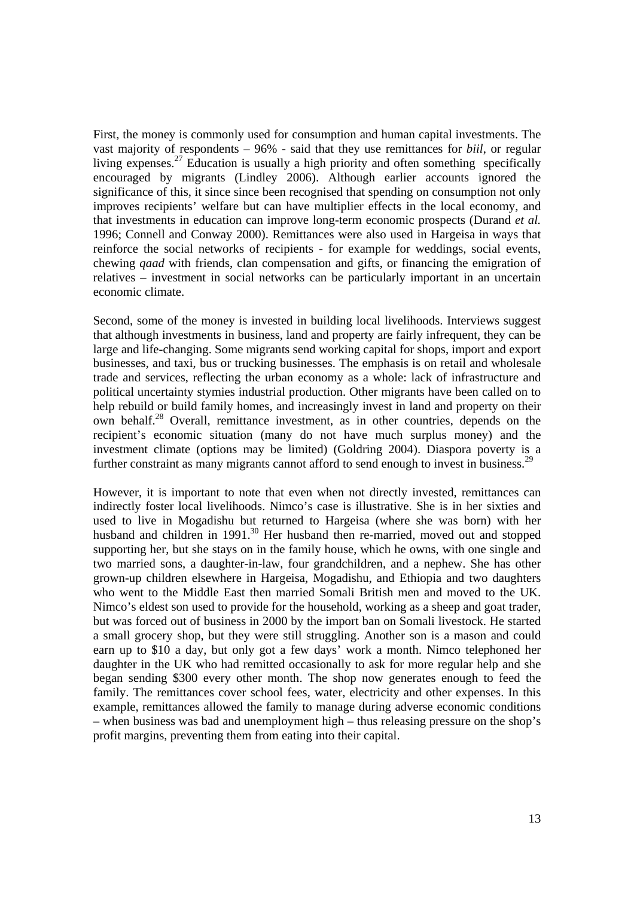First, the money is commonly used for consumption and human capital investments. The vast majority of respondents – 96% - said that they use remittances for *biil*, or regular living expenses.<sup>27</sup> Education is usually a high priority and often something specifically encouraged by migrants (Lindley 2006). Although earlier accounts ignored the significance of this, it since since been recognised that spending on consumption not only improves recipients' welfare but can have multiplier effects in the local economy, and that investments in education can improve long-term economic prospects (Durand *et al.*  1996; Connell and Conway 2000). Remittances were also used in Hargeisa in ways that reinforce the social networks of recipients - for example for weddings, social events, chewing *qaad* with friends, clan compensation and gifts, or financing the emigration of relatives – investment in social networks can be particularly important in an uncertain economic climate.

Second, some of the money is invested in building local livelihoods. Interviews suggest that although investments in business, land and property are fairly infrequent, they can be large and life-changing. Some migrants send working capital for shops, import and export businesses, and taxi, bus or trucking businesses. The emphasis is on retail and wholesale trade and services, reflecting the urban economy as a whole: lack of infrastructure and political uncertainty stymies industrial production. Other migrants have been called on to help rebuild or build family homes, and increasingly invest in land and property on their own behalf.28 Overall, remittance investment, as in other countries, depends on the recipient's economic situation (many do not have much surplus money) and the investment climate (options may be limited) (Goldring 2004). Diaspora poverty is a further constraint as many migrants cannot afford to send enough to invest in business.<sup>29</sup>

However, it is important to note that even when not directly invested, remittances can indirectly foster local livelihoods. Nimco's case is illustrative. She is in her sixties and used to live in Mogadishu but returned to Hargeisa (where she was born) with her husband and children in 1991.<sup>30</sup> Her husband then re-married, moved out and stopped supporting her, but she stays on in the family house, which he owns, with one single and two married sons, a daughter-in-law, four grandchildren, and a nephew. She has other grown-up children elsewhere in Hargeisa, Mogadishu, and Ethiopia and two daughters who went to the Middle East then married Somali British men and moved to the UK. Nimco's eldest son used to provide for the household, working as a sheep and goat trader, but was forced out of business in 2000 by the import ban on Somali livestock. He started a small grocery shop, but they were still struggling. Another son is a mason and could earn up to \$10 a day, but only got a few days' work a month. Nimco telephoned her daughter in the UK who had remitted occasionally to ask for more regular help and she began sending \$300 every other month. The shop now generates enough to feed the family. The remittances cover school fees, water, electricity and other expenses. In this example, remittances allowed the family to manage during adverse economic conditions – when business was bad and unemployment high – thus releasing pressure on the shop's profit margins, preventing them from eating into their capital.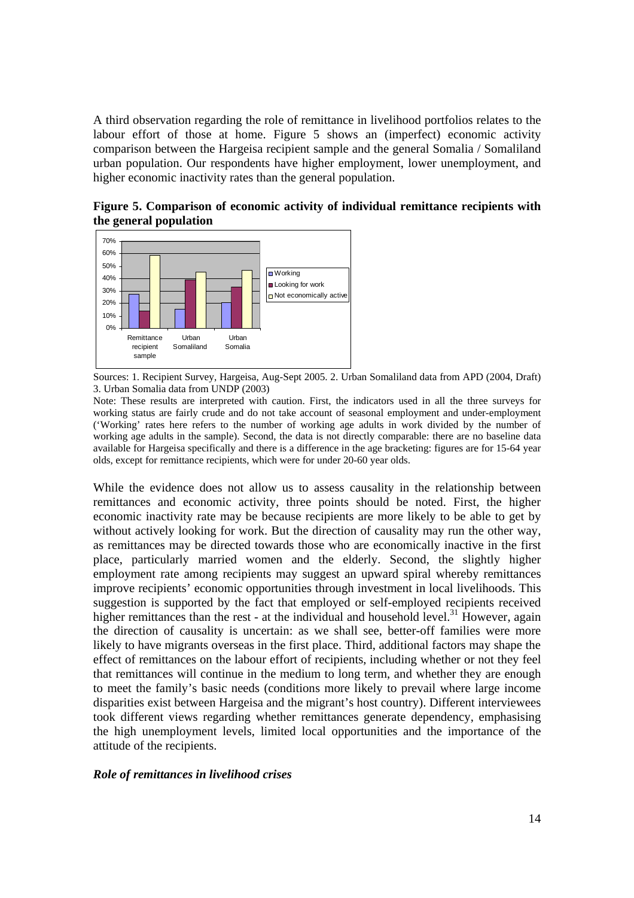A third observation regarding the role of remittance in livelihood portfolios relates to the labour effort of those at home. Figure 5 shows an (imperfect) economic activity comparison between the Hargeisa recipient sample and the general Somalia / Somaliland urban population. Our respondents have higher employment, lower unemployment, and higher economic inactivity rates than the general population.

**Figure 5. Comparison of economic activity of individual remittance recipients with the general population**



Sources: 1. Recipient Survey, Hargeisa, Aug-Sept 2005. 2. Urban Somaliland data from APD (2004, Draft) 3. Urban Somalia data from UNDP (2003)

Note: These results are interpreted with caution. First, the indicators used in all the three surveys for working status are fairly crude and do not take account of seasonal employment and under-employment ('Working' rates here refers to the number of working age adults in work divided by the number of working age adults in the sample). Second, the data is not directly comparable: there are no baseline data available for Hargeisa specifically and there is a difference in the age bracketing: figures are for 15-64 year olds, except for remittance recipients, which were for under 20-60 year olds.

While the evidence does not allow us to assess causality in the relationship between remittances and economic activity, three points should be noted. First, the higher economic inactivity rate may be because recipients are more likely to be able to get by without actively looking for work. But the direction of causality may run the other way, as remittances may be directed towards those who are economically inactive in the first place, particularly married women and the elderly. Second, the slightly higher employment rate among recipients may suggest an upward spiral whereby remittances improve recipients' economic opportunities through investment in local livelihoods. This suggestion is supported by the fact that employed or self-employed recipients received higher remittances than the rest - at the individual and household level.<sup>31</sup> However, again the direction of causality is uncertain: as we shall see, better-off families were more likely to have migrants overseas in the first place. Third, additional factors may shape the effect of remittances on the labour effort of recipients, including whether or not they feel that remittances will continue in the medium to long term, and whether they are enough to meet the family's basic needs (conditions more likely to prevail where large income disparities exist between Hargeisa and the migrant's host country). Different interviewees took different views regarding whether remittances generate dependency, emphasising the high unemployment levels, limited local opportunities and the importance of the attitude of the recipients.

#### *Role of remittances in livelihood crises*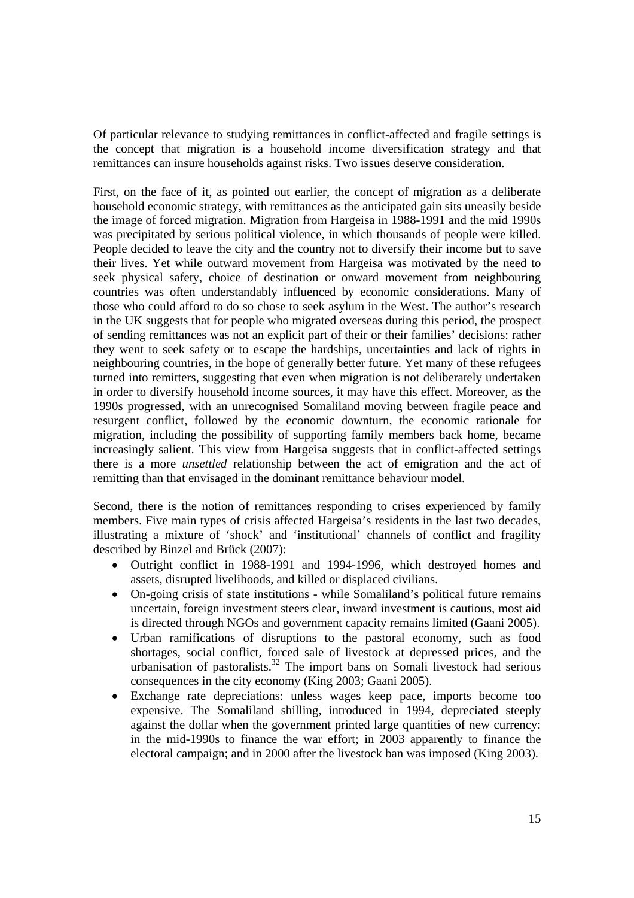Of particular relevance to studying remittances in conflict-affected and fragile settings is the concept that migration is a household income diversification strategy and that remittances can insure households against risks. Two issues deserve consideration.

First, on the face of it, as pointed out earlier, the concept of migration as a deliberate household economic strategy, with remittances as the anticipated gain sits uneasily beside the image of forced migration. Migration from Hargeisa in 1988-1991 and the mid 1990s was precipitated by serious political violence, in which thousands of people were killed. People decided to leave the city and the country not to diversify their income but to save their lives. Yet while outward movement from Hargeisa was motivated by the need to seek physical safety, choice of destination or onward movement from neighbouring countries was often understandably influenced by economic considerations. Many of those who could afford to do so chose to seek asylum in the West. The author's research in the UK suggests that for people who migrated overseas during this period, the prospect of sending remittances was not an explicit part of their or their families' decisions: rather they went to seek safety or to escape the hardships, uncertainties and lack of rights in neighbouring countries, in the hope of generally better future. Yet many of these refugees turned into remitters, suggesting that even when migration is not deliberately undertaken in order to diversify household income sources, it may have this effect. Moreover, as the 1990s progressed, with an unrecognised Somaliland moving between fragile peace and resurgent conflict, followed by the economic downturn, the economic rationale for migration, including the possibility of supporting family members back home, became increasingly salient. This view from Hargeisa suggests that in conflict-affected settings there is a more *unsettled* relationship between the act of emigration and the act of remitting than that envisaged in the dominant remittance behaviour model.

Second, there is the notion of remittances responding to crises experienced by family members. Five main types of crisis affected Hargeisa's residents in the last two decades, illustrating a mixture of 'shock' and 'institutional' channels of conflict and fragility described by Binzel and Brück (2007):

- Outright conflict in 1988-1991 and 1994-1996, which destroyed homes and assets, disrupted livelihoods, and killed or displaced civilians.
- On-going crisis of state institutions while Somaliland's political future remains uncertain, foreign investment steers clear, inward investment is cautious, most aid is directed through NGOs and government capacity remains limited (Gaani 2005).
- Urban ramifications of disruptions to the pastoral economy, such as food shortages, social conflict, forced sale of livestock at depressed prices, and the urbanisation of pastoralists.<sup>32</sup> The import bans on Somali livestock had serious consequences in the city economy (King 2003; Gaani 2005).
- Exchange rate depreciations: unless wages keep pace, imports become too expensive. The Somaliland shilling, introduced in 1994, depreciated steeply against the dollar when the government printed large quantities of new currency: in the mid-1990s to finance the war effort; in 2003 apparently to finance the electoral campaign; and in 2000 after the livestock ban was imposed (King 2003).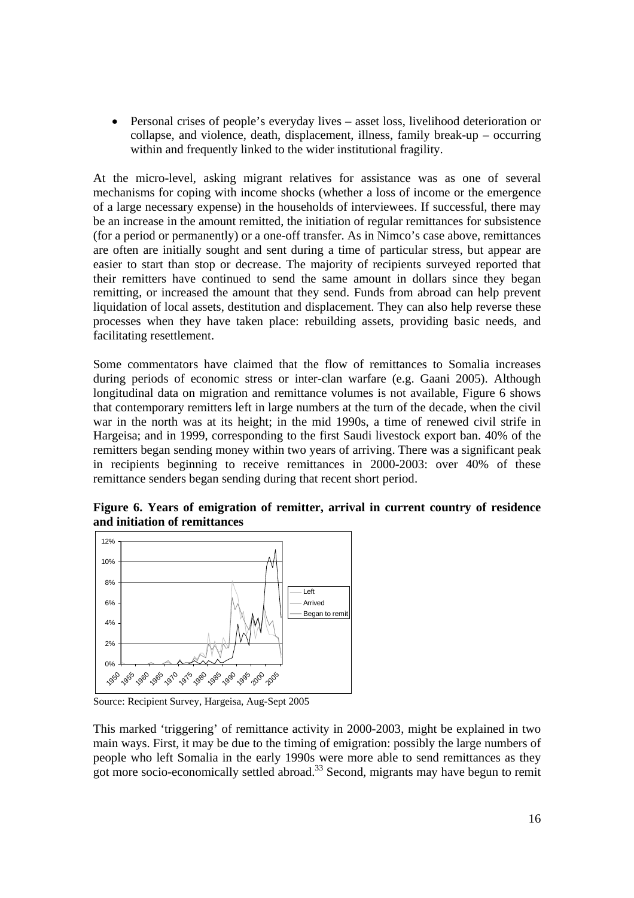• Personal crises of people's everyday lives – asset loss, livelihood deterioration or collapse, and violence, death, displacement, illness, family break-up – occurring within and frequently linked to the wider institutional fragility.

At the micro-level, asking migrant relatives for assistance was as one of several mechanisms for coping with income shocks (whether a loss of income or the emergence of a large necessary expense) in the households of interviewees. If successful, there may be an increase in the amount remitted, the initiation of regular remittances for subsistence (for a period or permanently) or a one-off transfer. As in Nimco's case above, remittances are often are initially sought and sent during a time of particular stress, but appear are easier to start than stop or decrease. The majority of recipients surveyed reported that their remitters have continued to send the same amount in dollars since they began remitting, or increased the amount that they send. Funds from abroad can help prevent liquidation of local assets, destitution and displacement. They can also help reverse these processes when they have taken place: rebuilding assets, providing basic needs, and facilitating resettlement.

Some commentators have claimed that the flow of remittances to Somalia increases during periods of economic stress or inter-clan warfare (e.g. Gaani 2005). Although longitudinal data on migration and remittance volumes is not available, Figure 6 shows that contemporary remitters left in large numbers at the turn of the decade, when the civil war in the north was at its height; in the mid 1990s, a time of renewed civil strife in Hargeisa; and in 1999, corresponding to the first Saudi livestock export ban. 40% of the remitters began sending money within two years of arriving. There was a significant peak in recipients beginning to receive remittances in 2000-2003: over 40% of these remittance senders began sending during that recent short period.

**Figure 6. Years of emigration of remitter, arrival in current country of residence and initiation of remittances** 



Source: Recipient Survey, Hargeisa, Aug-Sept 2005

This marked 'triggering' of remittance activity in 2000-2003, might be explained in two main ways. First, it may be due to the timing of emigration: possibly the large numbers of people who left Somalia in the early 1990s were more able to send remittances as they  $\frac{1}{2}$  got more socio-economically settled abroad.<sup>33</sup> Second, migrants may have begun to remit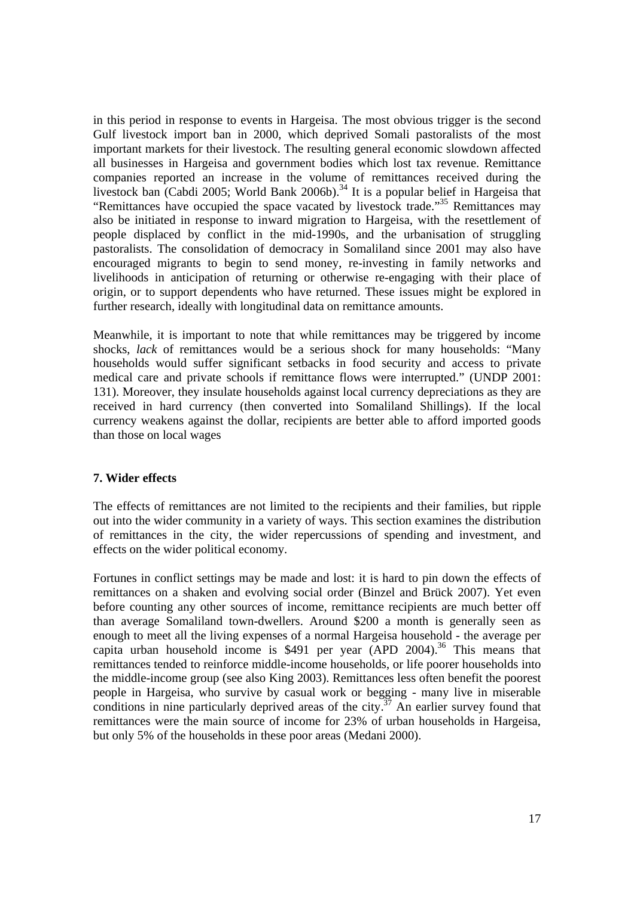in this period in response to events in Hargeisa. The most obvious trigger is the second Gulf livestock import ban in 2000, which deprived Somali pastoralists of the most important markets for their livestock. The resulting general economic slowdown affected all businesses in Hargeisa and government bodies which lost tax revenue. Remittance companies reported an increase in the volume of remittances received during the livestock ban (Cabdi 2005; World Bank 2006b).<sup>34</sup> It is a popular belief in Hargeisa that "Remittances have occupied the space vacated by livestock trade."35 Remittances may also be initiated in response to inward migration to Hargeisa, with the resettlement of people displaced by conflict in the mid-1990s, and the urbanisation of struggling pastoralists. The consolidation of democracy in Somaliland since 2001 may also have encouraged migrants to begin to send money, re-investing in family networks and livelihoods in anticipation of returning or otherwise re-engaging with their place of origin, or to support dependents who have returned. These issues might be explored in further research, ideally with longitudinal data on remittance amounts.

Meanwhile, it is important to note that while remittances may be triggered by income shocks, *lack* of remittances would be a serious shock for many households: "Many households would suffer significant setbacks in food security and access to private medical care and private schools if remittance flows were interrupted." (UNDP 2001: 131). Moreover, they insulate households against local currency depreciations as they are received in hard currency (then converted into Somaliland Shillings). If the local currency weakens against the dollar, recipients are better able to afford imported goods than those on local wages

#### **7. Wider effects**

The effects of remittances are not limited to the recipients and their families, but ripple out into the wider community in a variety of ways. This section examines the distribution of remittances in the city, the wider repercussions of spending and investment, and effects on the wider political economy.

Fortunes in conflict settings may be made and lost: it is hard to pin down the effects of remittances on a shaken and evolving social order (Binzel and Brück 2007). Yet even before counting any other sources of income, remittance recipients are much better off than average Somaliland town-dwellers. Around \$200 a month is generally seen as enough to meet all the living expenses of a normal Hargeisa household - the average per capita urban household income is  $$491$  per year (APD 2004).<sup>36</sup> This means that remittances tended to reinforce middle-income households, or life poorer households into the middle-income group (see also King 2003). Remittances less often benefit the poorest people in Hargeisa, who survive by casual work or begging - many live in miserable conditions in nine particularly deprived areas of the city.<sup>37</sup> An earlier survey found that remittances were the main source of income for 23% of urban households in Hargeisa, but only 5% of the households in these poor areas (Medani 2000).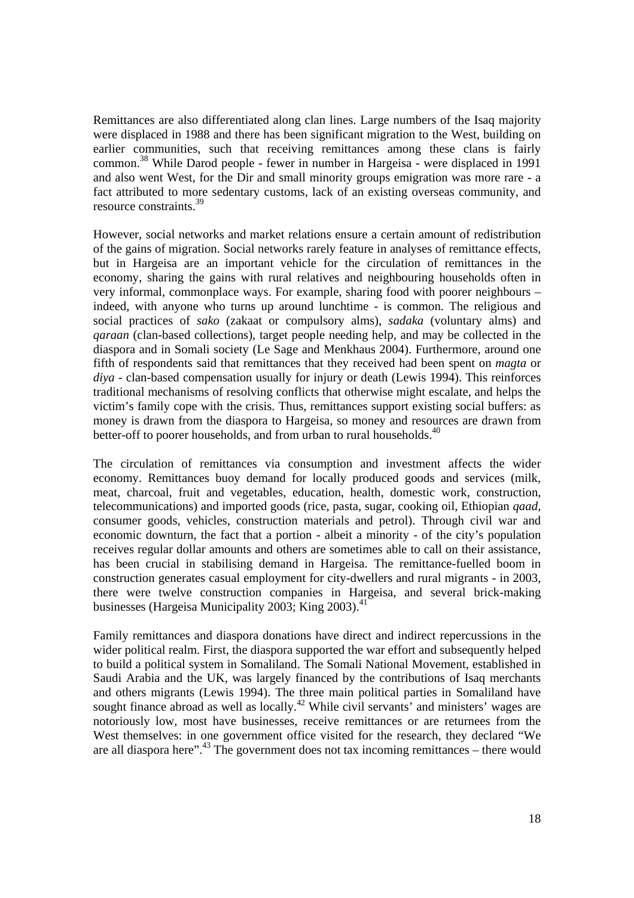Remittances are also differentiated along clan lines. Large numbers of the Isaq majority were displaced in 1988 and there has been significant migration to the West, building on earlier communities, such that receiving remittances among these clans is fairly common.38 While Darod people - fewer in number in Hargeisa - were displaced in 1991 and also went West, for the Dir and small minority groups emigration was more rare - a fact attributed to more sedentary customs, lack of an existing overseas community, and resource constraints.39

However, social networks and market relations ensure a certain amount of redistribution of the gains of migration. Social networks rarely feature in analyses of remittance effects, but in Hargeisa are an important vehicle for the circulation of remittances in the economy, sharing the gains with rural relatives and neighbouring households often in very informal, commonplace ways. For example, sharing food with poorer neighbours – indeed, with anyone who turns up around lunchtime - is common. The religious and social practices of *sako* (zakaat or compulsory alms), *sadaka* (voluntary alms) and *qaraan* (clan-based collections), target people needing help, and may be collected in the diaspora and in Somali society (Le Sage and Menkhaus 2004). Furthermore, around one fifth of respondents said that remittances that they received had been spent on *magta* or *diya* - clan-based compensation usually for injury or death (Lewis 1994). This reinforces traditional mechanisms of resolving conflicts that otherwise might escalate, and helps the victim's family cope with the crisis. Thus, remittances support existing social buffers: as money is drawn from the diaspora to Hargeisa, so money and resources are drawn from better-off to poorer households, and from urban to rural households.<sup>40</sup>

The circulation of remittances via consumption and investment affects the wider economy. Remittances buoy demand for locally produced goods and services (milk, meat, charcoal, fruit and vegetables, education, health, domestic work, construction, telecommunications) and imported goods (rice, pasta, sugar, cooking oil, Ethiopian *qaad*, consumer goods, vehicles, construction materials and petrol). Through civil war and economic downturn, the fact that a portion - albeit a minority - of the city's population receives regular dollar amounts and others are sometimes able to call on their assistance, has been crucial in stabilising demand in Hargeisa. The remittance-fuelled boom in construction generates casual employment for city-dwellers and rural migrants - in 2003, there were twelve construction companies in Hargeisa, and several brick-making businesses (Hargeisa Municipality 2003; King  $2003$ ).<sup>41</sup>

Family remittances and diaspora donations have direct and indirect repercussions in the wider political realm. First, the diaspora supported the war effort and subsequently helped to build a political system in Somaliland. The Somali National Movement, established in Saudi Arabia and the UK, was largely financed by the contributions of Isaq merchants and others migrants (Lewis 1994). The three main political parties in Somaliland have sought finance abroad as well as locally.<sup>42</sup> While civil servants' and ministers' wages are notoriously low, most have businesses, receive remittances or are returnees from the West themselves: in one government office visited for the research, they declared "We are all diaspora here".<sup>43</sup> The government does not tax incoming remittances – there would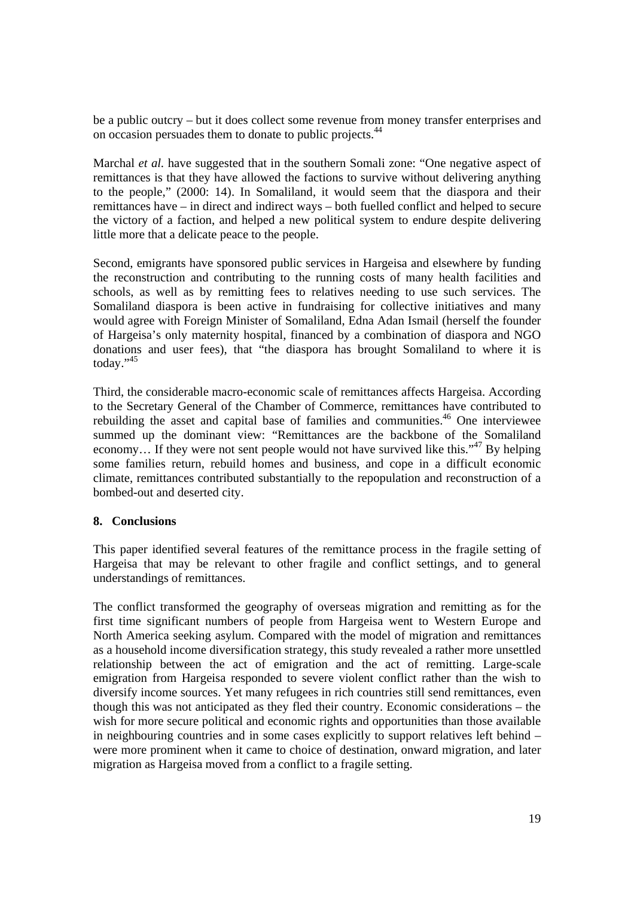be a public outcry – but it does collect some revenue from money transfer enterprises and on occasion persuades them to donate to public projects.44

Marchal *et al.* have suggested that in the southern Somali zone: "One negative aspect of remittances is that they have allowed the factions to survive without delivering anything to the people," (2000: 14). In Somaliland, it would seem that the diaspora and their remittances have – in direct and indirect ways – both fuelled conflict and helped to secure the victory of a faction, and helped a new political system to endure despite delivering little more that a delicate peace to the people.

Second, emigrants have sponsored public services in Hargeisa and elsewhere by funding the reconstruction and contributing to the running costs of many health facilities and schools, as well as by remitting fees to relatives needing to use such services. The Somaliland diaspora is been active in fundraising for collective initiatives and many would agree with Foreign Minister of Somaliland, Edna Adan Ismail (herself the founder of Hargeisa's only maternity hospital, financed by a combination of diaspora and NGO donations and user fees), that "the diaspora has brought Somaliland to where it is today." $45$ 

Third, the considerable macro-economic scale of remittances affects Hargeisa. According to the Secretary General of the Chamber of Commerce, remittances have contributed to rebuilding the asset and capital base of families and communities.<sup>46</sup> One interviewee summed up the dominant view: "Remittances are the backbone of the Somaliland economy... If they were not sent people would not have survived like this."<sup>47</sup> By helping some families return, rebuild homes and business, and cope in a difficult economic climate, remittances contributed substantially to the repopulation and reconstruction of a bombed-out and deserted city.

#### **8. Conclusions**

This paper identified several features of the remittance process in the fragile setting of Hargeisa that may be relevant to other fragile and conflict settings, and to general understandings of remittances.

The conflict transformed the geography of overseas migration and remitting as for the first time significant numbers of people from Hargeisa went to Western Europe and North America seeking asylum. Compared with the model of migration and remittances as a household income diversification strategy, this study revealed a rather more unsettled relationship between the act of emigration and the act of remitting. Large-scale emigration from Hargeisa responded to severe violent conflict rather than the wish to diversify income sources. Yet many refugees in rich countries still send remittances, even though this was not anticipated as they fled their country. Economic considerations – the wish for more secure political and economic rights and opportunities than those available in neighbouring countries and in some cases explicitly to support relatives left behind – were more prominent when it came to choice of destination, onward migration, and later migration as Hargeisa moved from a conflict to a fragile setting.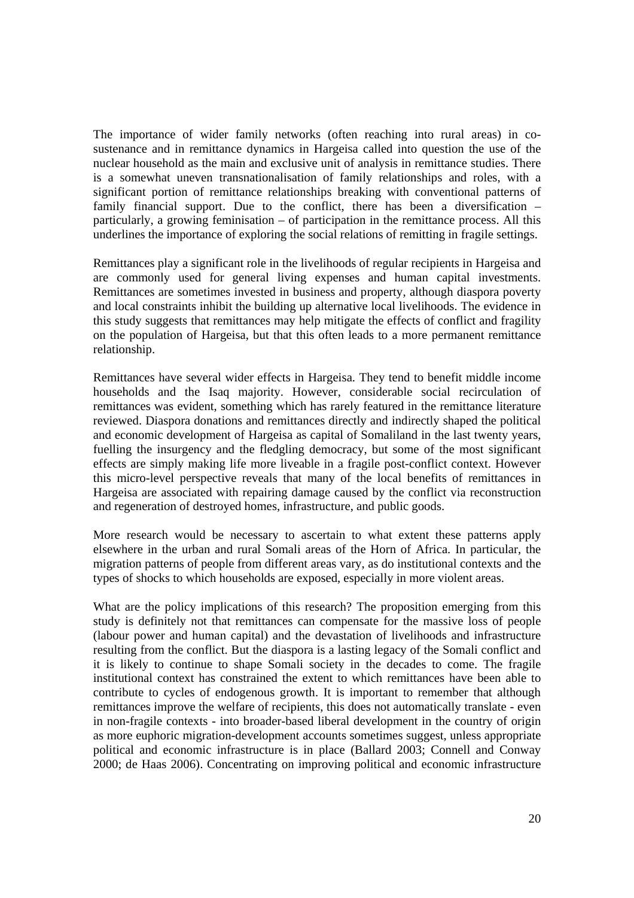The importance of wider family networks (often reaching into rural areas) in cosustenance and in remittance dynamics in Hargeisa called into question the use of the nuclear household as the main and exclusive unit of analysis in remittance studies. There is a somewhat uneven transnationalisation of family relationships and roles, with a significant portion of remittance relationships breaking with conventional patterns of family financial support. Due to the conflict, there has been a diversification – particularly, a growing feminisation – of participation in the remittance process. All this underlines the importance of exploring the social relations of remitting in fragile settings.

Remittances play a significant role in the livelihoods of regular recipients in Hargeisa and are commonly used for general living expenses and human capital investments. Remittances are sometimes invested in business and property, although diaspora poverty and local constraints inhibit the building up alternative local livelihoods. The evidence in this study suggests that remittances may help mitigate the effects of conflict and fragility on the population of Hargeisa, but that this often leads to a more permanent remittance relationship.

Remittances have several wider effects in Hargeisa. They tend to benefit middle income households and the Isaq majority. However, considerable social recirculation of remittances was evident, something which has rarely featured in the remittance literature reviewed. Diaspora donations and remittances directly and indirectly shaped the political and economic development of Hargeisa as capital of Somaliland in the last twenty years, fuelling the insurgency and the fledgling democracy, but some of the most significant effects are simply making life more liveable in a fragile post-conflict context. However this micro-level perspective reveals that many of the local benefits of remittances in Hargeisa are associated with repairing damage caused by the conflict via reconstruction and regeneration of destroyed homes, infrastructure, and public goods.

More research would be necessary to ascertain to what extent these patterns apply elsewhere in the urban and rural Somali areas of the Horn of Africa. In particular, the migration patterns of people from different areas vary, as do institutional contexts and the types of shocks to which households are exposed, especially in more violent areas.

What are the policy implications of this research? The proposition emerging from this study is definitely not that remittances can compensate for the massive loss of people (labour power and human capital) and the devastation of livelihoods and infrastructure resulting from the conflict. But the diaspora is a lasting legacy of the Somali conflict and it is likely to continue to shape Somali society in the decades to come. The fragile institutional context has constrained the extent to which remittances have been able to contribute to cycles of endogenous growth. It is important to remember that although remittances improve the welfare of recipients, this does not automatically translate - even in non-fragile contexts - into broader-based liberal development in the country of origin as more euphoric migration-development accounts sometimes suggest, unless appropriate political and economic infrastructure is in place (Ballard 2003; Connell and Conway 2000; de Haas 2006). Concentrating on improving political and economic infrastructure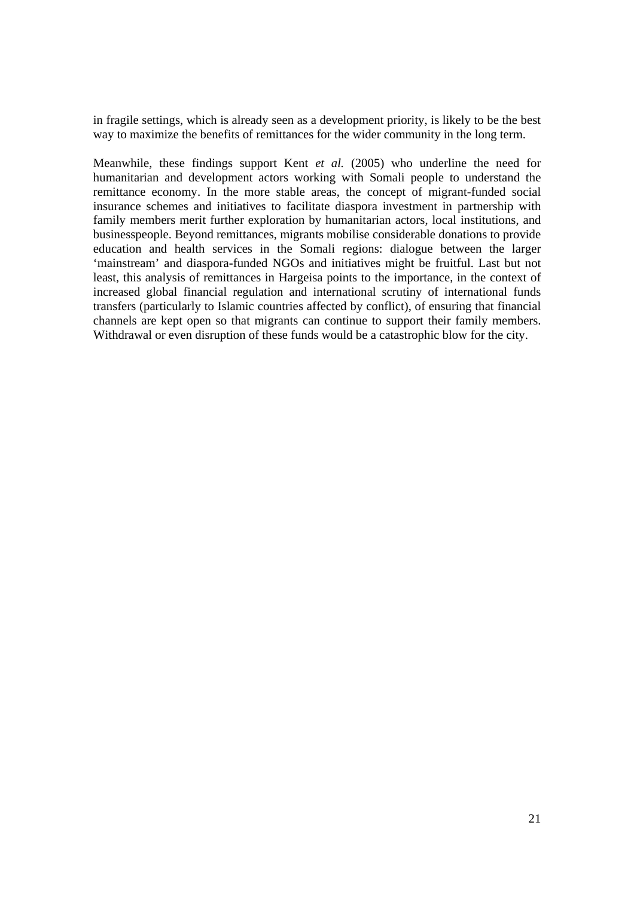in fragile settings, which is already seen as a development priority, is likely to be the best way to maximize the benefits of remittances for the wider community in the long term.

Meanwhile, these findings support Kent *et al.* (2005) who underline the need for humanitarian and development actors working with Somali people to understand the remittance economy. In the more stable areas, the concept of migrant-funded social insurance schemes and initiatives to facilitate diaspora investment in partnership with family members merit further exploration by humanitarian actors, local institutions, and businesspeople. Beyond remittances, migrants mobilise considerable donations to provide education and health services in the Somali regions: dialogue between the larger 'mainstream' and diaspora-funded NGOs and initiatives might be fruitful. Last but not least, this analysis of remittances in Hargeisa points to the importance, in the context of increased global financial regulation and international scrutiny of international funds transfers (particularly to Islamic countries affected by conflict), of ensuring that financial channels are kept open so that migrants can continue to support their family members. Withdrawal or even disruption of these funds would be a catastrophic blow for the city.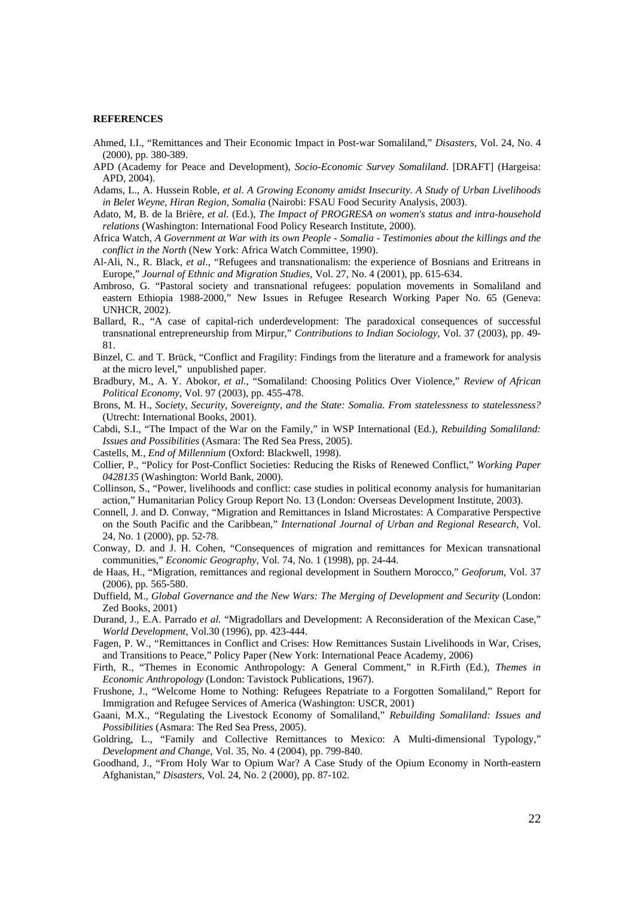#### **REFERENCES**

- Ahmed, I.I., "Remittances and Their Economic Impact in Post-war Somaliland," *Disasters*, Vol. 24, No. 4 (2000), pp. 380-389.
- APD (Academy for Peace and Development), *Socio-Economic Survey Somaliland*. [DRAFT] (Hargeisa: APD, 2004).
- Adams, L., A. Hussein Roble, *et al*. *A Growing Economy amidst Insecurity. A Study of Urban Livelihoods in Belet Weyne, Hiran Region, Somalia* (Nairobi: FSAU Food Security Analysis, 2003).
- Adato, M, B. de la Brière, *et al.* (Ed.), *The Impact of PROGRESA on women's status and intra-household relations* (Washington: International Food Policy Research Institute, 2000).
- Africa Watch, *A Government at War with its own People Somalia Testimonies about the killings and the conflict in the North* (New York: Africa Watch Committee, 1990).
- Al-Ali, N., R. Black, *et al*., "Refugees and transnationalism: the experience of Bosnians and Eritreans in Europe," *Journal of Ethnic and Migration Studies*, Vol. 27, No. 4 (2001), pp. 615-634.
- Ambroso, G. "Pastoral society and transnational refugees: population movements in Somaliland and eastern Ethiopia 1988-2000," New Issues in Refugee Research Working Paper No. 65 (Geneva: UNHCR, 2002).
- Ballard, R., "A case of capital-rich underdevelopment: The paradoxical consequences of successful transnational entrepreneurship from Mirpur," *Contributions to Indian Sociology*, Vol. 37 (2003), pp. 49- 81.
- Binzel, C. and T. Brück, "Conflict and Fragility: Findings from the literature and a framework for analysis at the micro level," unpublished paper.
- Bradbury, M., A. Y. Abokor, *et al.*, "Somaliland: Choosing Politics Over Violence," *Review of African Political Economy*, Vol. 97 (2003), pp. 455-478.
- Brons, M. H., *Society, Security, Sovereignty, and the State: Somalia. From statelessness to statelessness?*  (Utrecht: International Books, 2001).
- Cabdi, S.I., "The Impact of the War on the Family," in WSP International (Ed.), *Rebuilding Somaliland: Issues and Possibilities* (Asmara: The Red Sea Press, 2005).
- Castells, M., *End of Millennium* (Oxford: Blackwell, 1998).
- Collier, P., "Policy for Post-Conflict Societies: Reducing the Risks of Renewed Conflict," *Working Paper 0428135* (Washington: World Bank, 2000).
- Collinson, S., "Power, livelihoods and conflict: case studies in political economy analysis for humanitarian action," Humanitarian Policy Group Report No. 13 (London: Overseas Development Institute, 2003).
- Connell, J. and D. Conway, "Migration and Remittances in Island Microstates: A Comparative Perspective on the South Pacific and the Caribbean," *International Journal of Urban and Regional Research,* Vol. 24, No. 1 (2000), pp. 52-78.
- Conway, D. and J. H. Cohen, "Consequences of migration and remittances for Mexican transnational communities," *Economic Geography*, Vol. 74, No. 1 (1998), pp. 24-44.
- de Haas, H., "Migration, remittances and regional development in Southern Morocco," *Geoforum*, Vol. 37 (2006), pp. 565-580.
- Duffield, M., *Global Governance and the New Wars: The Merging of Development and Security* (London: Zed Books, 2001)
- Durand, J., E.A. Parrado *et al.* "Migradollars and Development: A Reconsideration of the Mexican Case," *World Development*, Vol.30 (1996), pp. 423-444.
- Fagen, P. W., "Remittances in Conflict and Crises: How Remittances Sustain Livelihoods in War, Crises, and Transitions to Peace," Policy Paper (New York: International Peace Academy, 2006)
- Firth, R., "Themes in Economic Anthropology: A General Comment," in R.Firth (Ed.), *Themes in Economic Anthropology* (London: Tavistock Publications, 1967).
- Frushone, J., "Welcome Home to Nothing: Refugees Repatriate to a Forgotten Somaliland," Report for Immigration and Refugee Services of America (Washington: USCR, 2001)
- Gaani, M.X., "Regulating the Livestock Economy of Somaliland," *Rebuilding Somaliland: Issues and Possibilities* (Asmara: The Red Sea Press, 2005).
- Goldring, L., "Family and Collective Remittances to Mexico: A Multi-dimensional Typology," *Development and Change*, Vol. 35, No. 4 (2004), pp. 799-840.
- Goodhand, J., "From Holy War to Opium War? A Case Study of the Opium Economy in North-eastern Afghanistan," *Disasters*, Vol. 24, No. 2 (2000), pp. 87-102.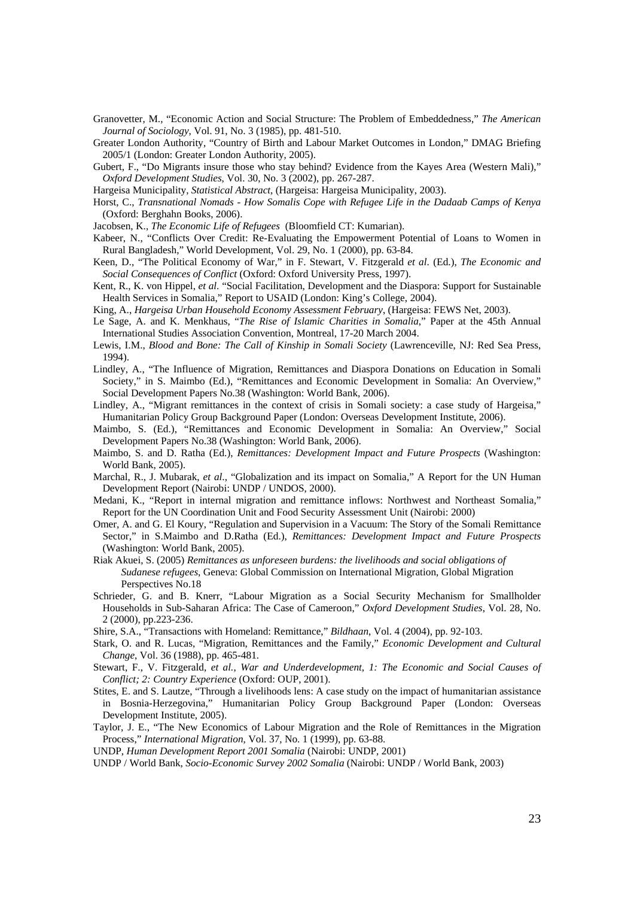- Granovetter, M., "Economic Action and Social Structure: The Problem of Embeddedness," *The American Journal of Sociology*, Vol. 91, No. 3 (1985), pp. 481-510.
- Greater London Authority, "Country of Birth and Labour Market Outcomes in London," DMAG Briefing 2005/1 (London: Greater London Authority, 2005).
- Gubert, F., "Do Migrants insure those who stay behind? Evidence from the Kayes Area (Western Mali)," *Oxford Development Studies*, Vol. 30, No. 3 (2002), pp. 267-287.
- Hargeisa Municipality, *Statistical Abstract*, (Hargeisa: Hargeisa Municipality, 2003).
- Horst, C., *Transnational Nomads How Somalis Cope with Refugee Life in the Dadaab Camps of Kenya* (Oxford: Berghahn Books, 2006).
- Jacobsen, K., *The Economic Life of Refugees* (Bloomfield CT: Kumarian).
- Kabeer, N., "Conflicts Over Credit: Re-Evaluating the Empowerment Potential of Loans to Women in Rural Bangladesh," World Development, Vol. 29, No. 1 (2000), pp. 63-84.
- Keen, D., "The Political Economy of War," in F. Stewart, V. Fitzgerald *et al*. (Ed.), *The Economic and Social Consequences of Conflict* (Oxford: Oxford University Press, 1997).
- Kent, R., K. von Hippel, *et al*. "Social Facilitation, Development and the Diaspora: Support for Sustainable Health Services in Somalia," Report to USAID (London: King's College, 2004).
- King, A., *Hargeisa Urban Household Economy Assessment February*, (Hargeisa: FEWS Net, 2003).
- Le Sage, A. and K. Menkhaus, "*The Rise of Islamic Charities in Somalia*," Paper at the 45th Annual International Studies Association Convention, Montreal, 17-20 March 2004.
- Lewis, I.M., *Blood and Bone: The Call of Kinship in Somali Society* (Lawrenceville, NJ: Red Sea Press, 1994).
- Lindley, A., "The Influence of Migration, Remittances and Diaspora Donations on Education in Somali Society," in S. Maimbo (Ed.), "Remittances and Economic Development in Somalia: An Overview," Social Development Papers No.38 (Washington: World Bank, 2006).
- Lindley, A., "Migrant remittances in the context of crisis in Somali society: a case study of Hargeisa," Humanitarian Policy Group Background Paper (London: Overseas Development Institute, 2006).
- Maimbo, S. (Ed.), "Remittances and Economic Development in Somalia: An Overview," Social Development Papers No.38 (Washington: World Bank, 2006).
- Maimbo, S. and D. Ratha (Ed.), *Remittances: Development Impact and Future Prospects* (Washington: World Bank, 2005).
- Marchal, R., J. Mubarak, *et al*., "Globalization and its impact on Somalia," A Report for the UN Human Development Report (Nairobi: UNDP / UNDOS, 2000).
- Medani, K., "Report in internal migration and remittance inflows: Northwest and Northeast Somalia," Report for the UN Coordination Unit and Food Security Assessment Unit (Nairobi: 2000)
- Omer, A. and G. El Koury, "Regulation and Supervision in a Vacuum: The Story of the Somali Remittance Sector," in S.Maimbo and D.Ratha (Ed.), *Remittances: Development Impact and Future Prospects* (Washington: World Bank, 2005).
- Riak Akuei, S. (2005) *Remittances as unforeseen burdens: the livelihoods and social obligations of Sudanese refugees*, Geneva: Global Commission on International Migration, Global Migration Perspectives No.18
- Schrieder, G. and B. Knerr, "Labour Migration as a Social Security Mechanism for Smallholder Households in Sub-Saharan Africa: The Case of Cameroon," *Oxford Development Studies*, Vol. 28, No. 2 (2000), pp.223-236.
- Shire, S.A., "Transactions with Homeland: Remittance," *Bildhaan*, Vol. 4 (2004), pp. 92-103.
- Stark, O. and R. Lucas, "Migration, Remittances and the Family," *Economic Development and Cultural Change*, Vol. 36 (1988), pp. 465-481.
- Stewart, F., V. Fitzgerald, *et al.*, *War and Underdevelopment, 1: The Economic and Social Causes of Conflict; 2: Country Experience* (Oxford: OUP, 2001).
- Stites, E. and S. Lautze, "Through a livelihoods lens: A case study on the impact of humanitarian assistance in Bosnia-Herzegovina," Humanitarian Policy Group Background Paper (London: Overseas Development Institute, 2005).
- Taylor, J. E., "The New Economics of Labour Migration and the Role of Remittances in the Migration Process," *International Migration*, Vol. 37, No. 1 (1999), pp. 63-88.
- UNDP, *Human Development Report 2001 Somalia* (Nairobi: UNDP, 2001)
- UNDP / World Bank, *Socio-Economic Survey 2002 Somalia* (Nairobi: UNDP / World Bank, 2003)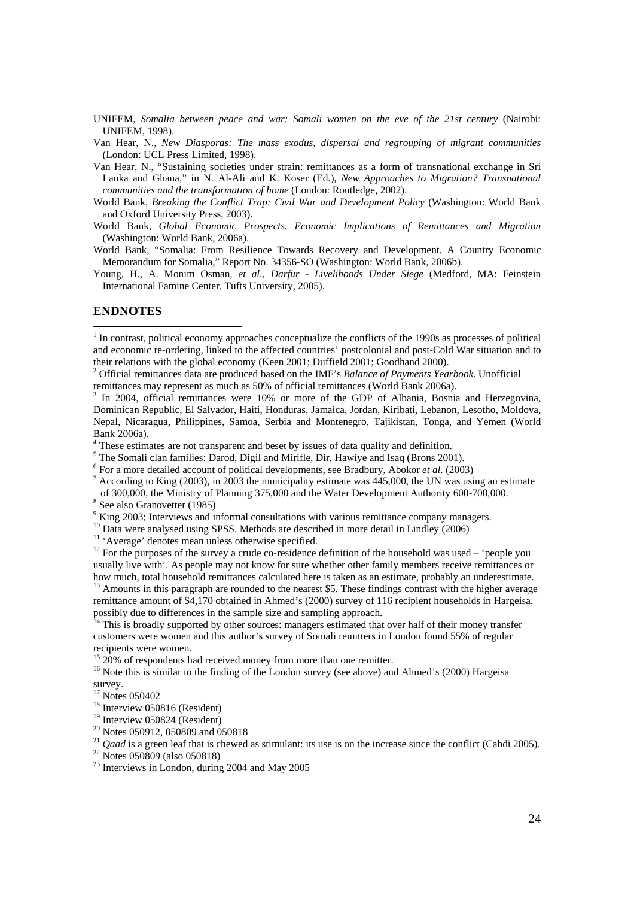- UNIFEM, *Somalia between peace and war: Somali women on the eve of the 21st century* (Nairobi: UNIFEM, 1998).
- Van Hear, N., *New Diasporas: The mass exodus, dispersal and regrouping of migrant communities* (London: UCL Press Limited, 1998).
- Van Hear, N., "Sustaining societies under strain: remittances as a form of transnational exchange in Sri Lanka and Ghana," in N. Al-Ali and K. Koser (Ed.), *New Approaches to Migration? Transnational communities and the transformation of home* (London: Routledge, 2002).
- World Bank, *Breaking the Conflict Trap: Civil War and Development Policy* (Washington: World Bank and Oxford University Press, 2003).
- World Bank, *Global Economic Prospects. Economic Implications of Remittances and Migration* (Washington: World Bank, 2006a).
- World Bank, "Somalia: From Resilience Towards Recovery and Development. A Country Economic Memorandum for Somalia," Report No. 34356-SO (Washington: World Bank, 2006b).
- Young, H., A. Monim Osman, *et al*., *Darfur Livelihoods Under Siege* (Medford, MA: Feinstein International Famine Center, Tufts University, 2005).

#### **ENDNOTES**

2 Official remittances data are produced based on the IMF's *Balance of Payments Yearbook*. Unofficial remittances may represent as much as 50% of official remittances (World Bank 2006a).

<sup>3</sup> In 2004, official remittances were 10% or more of the GDP of Albania, Bosnia and Herzegovina, Dominican Republic, El Salvador, Haiti, Honduras, Jamaica, Jordan, Kiribati, Lebanon, Lesotho, Moldova, Nepal, Nicaragua, Philippines, Samoa, Serbia and Montenegro, Tajikistan, Tonga, and Yemen (World Bank 2006a).

- <sup>4</sup> These estimates are not transparent and beset by issues of data quality and definition.
- <sup>5</sup> The Somali clan families: Darod, Digil and Mirifle, Dir, Hawiye and Isaq (Brons 2001).
- <sup>6</sup> For a more detailed account of political developments, see Bradbury, Abokor *et al.* (2003)  $\frac{7}{2}$  According to *V*ing (2003) in 2003 the municipality estimate was 445,000 the UN was using
- $^7$  According to King (2003), in 2003 the municipality estimate was 445,000, the UN was using an estimate
- of 300,000, the Ministry of Planning 375,000 and the Water Development Authority 600-700,000. 8 <sup>8</sup> See also Granovetter (1985)
- <sup>9</sup> King 2003; Interviews and informal consultations with various remittance company managers.
- <sup>10</sup> Data were analysed using SPSS. Methods are described in more detail in Lindley (2006)
- <sup>11</sup> 'Average' denotes mean unless otherwise specified.

<sup>12</sup> For the purposes of the survey a crude co-residence definition of the household was used – 'people you usually live with'. As people may not know for sure whether other family members receive remittances or how much, total household remittances calculated here is taken as an estimate, probably an underestimate.

<sup>13</sup> Amounts in this paragraph are rounded to the nearest \$5. These findings contrast with the higher average remittance amount of \$4,170 obtained in Ahmed's (2000) survey of 116 recipient households in Hargeisa, possibly due to differences in the sample size and sampling approach.

<sup>14</sup> This is broadly supported by other sources: managers estimated that over half of their money transfer customers were women and this author's survey of Somali remitters in London found 55% of regular recipients were women.

<sup>15</sup> 20% of respondents had received money from more than one remitter.

<sup>16</sup> Note this is similar to the finding of the London survey (see above) and Ahmed's (2000) Hargeisa survey.

<sup>17</sup> Notes 050402

- 18 Interview 050816 (Resident)
- <sup>19</sup> Interview 050824 (Resident)
- <sup>20</sup> Notes 050912, 050809 and 050818
- <sup>21</sup> *Qaad* is a green leaf that is chewed as stimulant: its use is on the increase since the conflict (Cabdi 2005).<br><sup>22</sup> Notes 050809 (also 050818)
- 
- $23$  Interviews in London, during 2004 and May 2005

 $<sup>1</sup>$  In contrast, political economy approaches conceptualize the conflicts of the 1990s as processes of political</sup> and economic re-ordering, linked to the affected countries' postcolonial and post-Cold War situation and to their relations with the global economy (Keen 2001; Duffield 2001; Goodhand 2000).